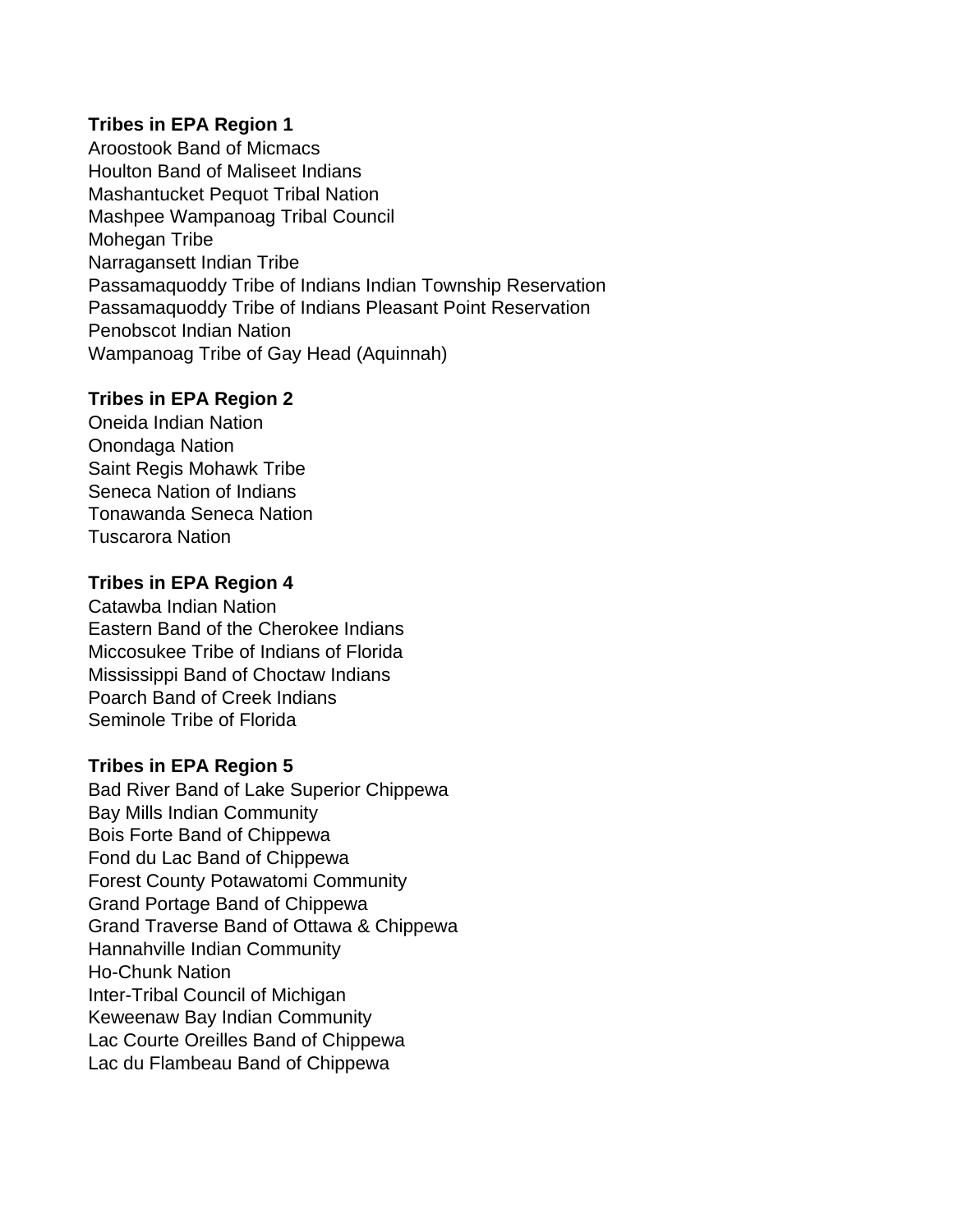## **Tribes in EPA Region 1**

Aroostook Band of Micmacs Houlton Band of Maliseet Indians Mashantucket Pequot Tribal Nation Mashpee Wampanoag Tribal Council Mohegan Tribe Narragansett Indian Tribe Passamaquoddy Tribe of Indians Indian Township Reservation Passamaquoddy Tribe of Indians Pleasant Point Reservation Penobscot Indian Nation Wampanoag Tribe of Gay Head (Aquinnah)

### **Tribes in EPA Region 2**

Oneida Indian Nation Onondaga Nation Saint Regis Mohawk Tribe Seneca Nation of Indians Tonawanda Seneca Nation Tuscarora Nation

## **Tribes in EPA Region 4**

Catawba Indian Nation Eastern Band of the Cherokee Indians Miccosukee Tribe of Indians of Florida Mississippi Band of Choctaw Indians Poarch Band of Creek Indians Seminole Tribe of Florida

#### **Tribes in EPA Region 5**

Bad River Band of Lake Superior Chippewa Bay Mills Indian Community Bois Forte Band of Chippewa Fond du Lac Band of Chippewa Forest County Potawatomi Community Grand Portage Band of Chippewa Grand Traverse Band of Ottawa & Chippewa Hannahville Indian Community Ho-Chunk Nation Inter-Tribal Council of Michigan Keweenaw Bay Indian Community Lac Courte Oreilles Band of Chippewa Lac du Flambeau Band of Chippewa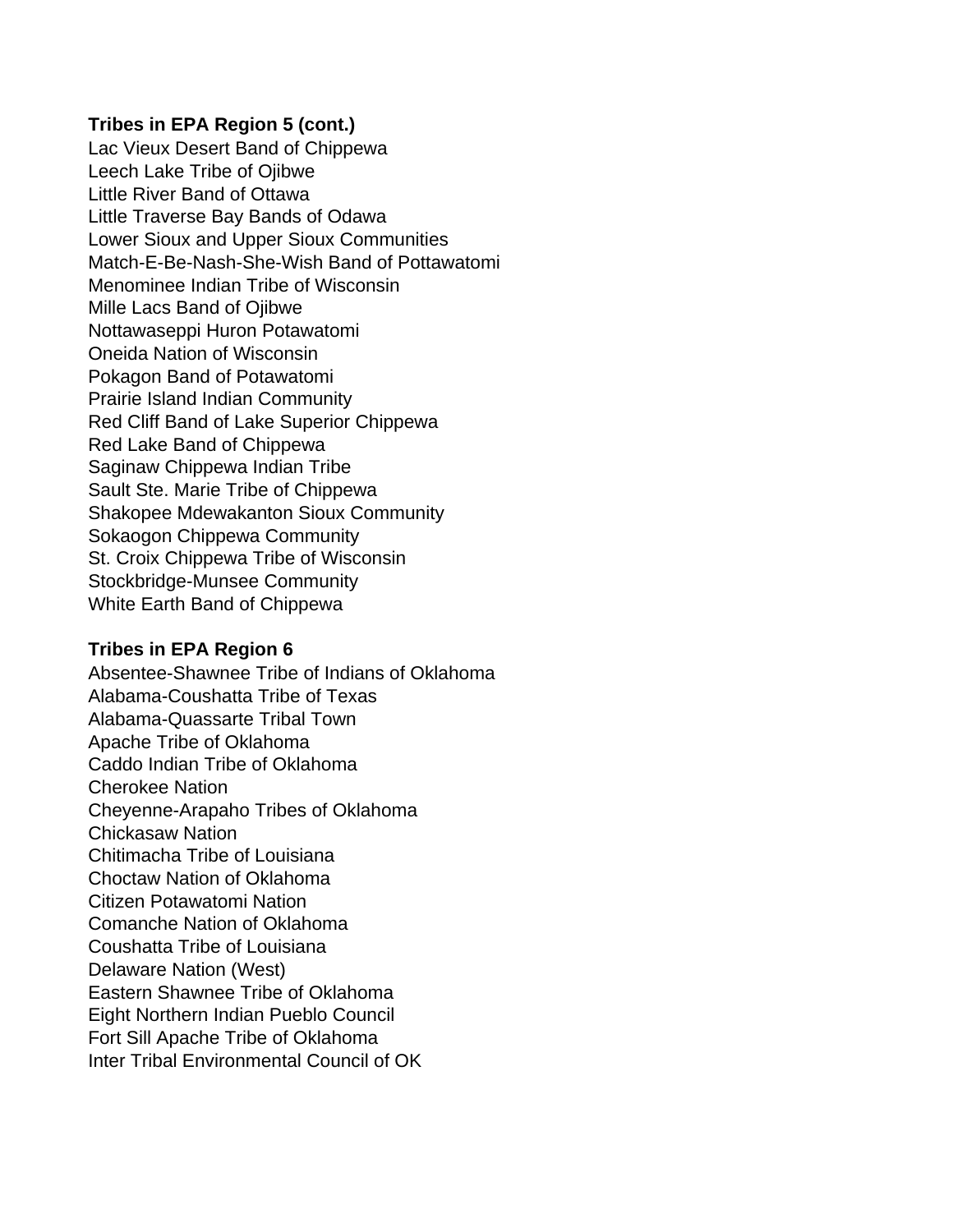Lac Vieux Desert Band of Chippewa Leech Lake Tribe of Ojibwe Little River Band of Ottawa Little Traverse Bay Bands of Odawa Lower Sioux and Upper Sioux Communities Match-E-Be-Nash-She-Wish Band of Pottawatomi Menominee Indian Tribe of Wisconsin Mille Lacs Band of Ojibwe Nottawaseppi Huron Potawatomi Oneida Nation of Wisconsin Pokagon Band of Potawatomi Prairie Island Indian Community Red Cliff Band of Lake Superior Chippewa Red Lake Band of Chippewa Saginaw Chippewa Indian Tribe Sault Ste. Marie Tribe of Chippewa Shakopee Mdewakanton Sioux Community Sokaogon Chippewa Community St. Croix Chippewa Tribe of Wisconsin Stockbridge-Munsee Community White Earth Band of Chippewa

## **Tribes in EPA Region 6**

Absentee-Shawnee Tribe of Indians of Oklahoma Alabama-Coushatta Tribe of Texas Alabama-Quassarte Tribal Town Apache Tribe of Oklahoma Caddo Indian Tribe of Oklahoma Cherokee Nation Cheyenne-Arapaho Tribes of Oklahoma Chickasaw Nation Chitimacha Tribe of Louisiana Choctaw Nation of Oklahoma Citizen Potawatomi Nation Comanche Nation of Oklahoma Coushatta Tribe of Louisiana Delaware Nation (West) Eastern Shawnee Tribe of Oklahoma Eight Northern Indian Pueblo Council Fort Sill Apache Tribe of Oklahoma Inter Tribal Environmental Council of OK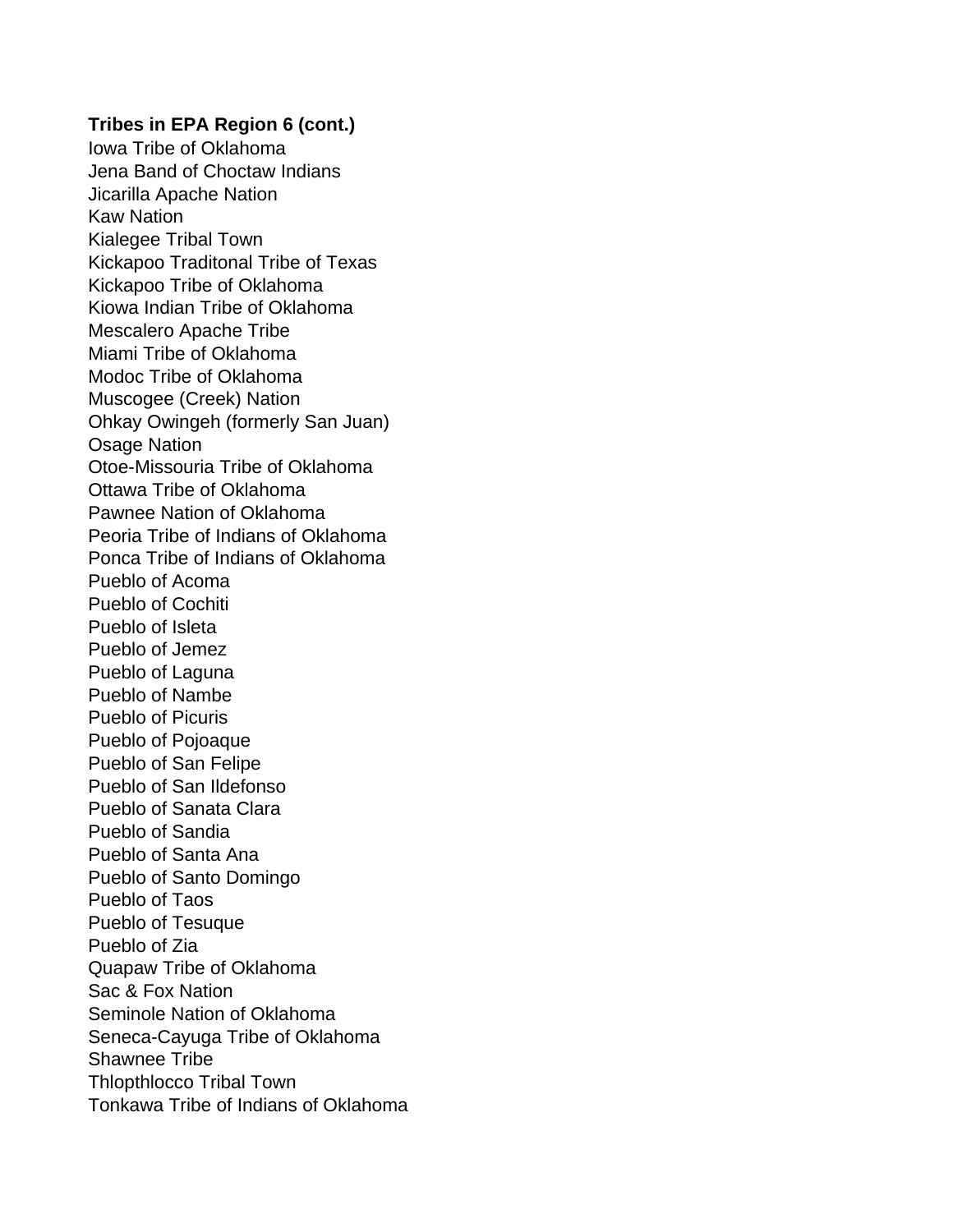Iowa Tribe of Oklahoma Jena Band of Choctaw Indians Jicarilla Apache Nation Kaw Nation Kialegee Tribal Town Kickapoo Traditonal Tribe of Texas Kickapoo Tribe of Oklahoma Kiowa Indian Tribe of Oklahoma Mescalero Apache Tribe Miami Tribe of Oklahoma Modoc Tribe of Oklahoma Muscogee (Creek) Nation Ohkay Owingeh (formerly San Juan) Osage Nation Otoe-Missouria Tribe of Oklahoma Ottawa Tribe of Oklahoma Pawnee Nation of Oklahoma Peoria Tribe of Indians of Oklahoma Ponca Tribe of Indians of Oklahoma Pueblo of Acoma Pueblo of Cochiti Pueblo of Isleta Pueblo of Jemez Pueblo of Laguna Pueblo of Nambe Pueblo of Picuris Pueblo of Pojoaque Pueblo of San Felipe Pueblo of San Ildefonso Pueblo of Sanata Clara Pueblo of Sandia Pueblo of Santa Ana Pueblo of Santo Domingo Pueblo of Taos Pueblo of Tesuque Pueblo of Zia Quapaw Tribe of Oklahoma Sac & Fox Nation Seminole Nation of Oklahoma Seneca-Cayuga Tribe of Oklahoma Shawnee Tribe Thlopthlocco Tribal Town Tonkawa Tribe of Indians of Oklahoma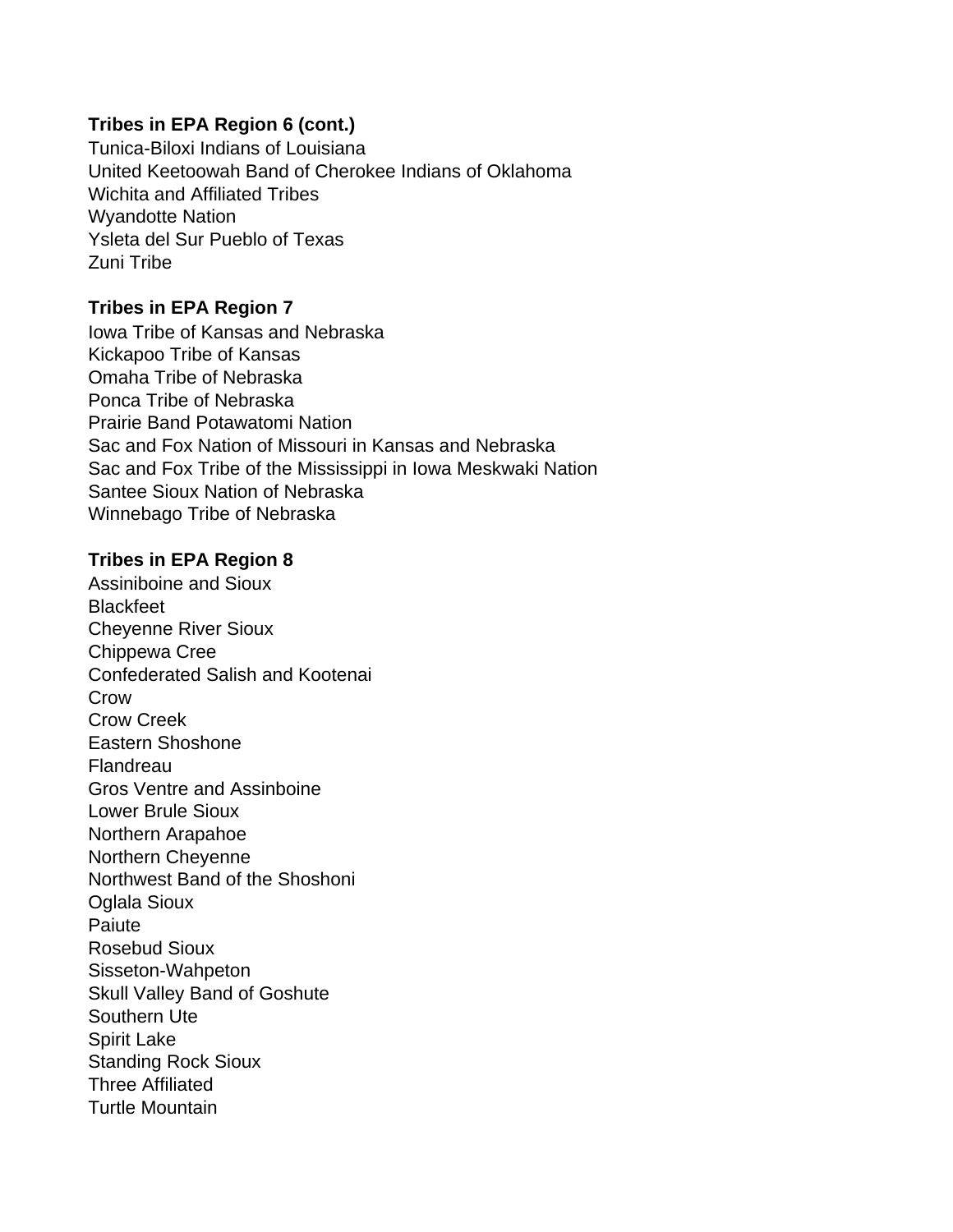Tunica-Biloxi Indians of Louisiana United Keetoowah Band of Cherokee Indians of Oklahoma Wichita and Affiliated Tribes Wyandotte Nation Ysleta del Sur Pueblo of Texas Zuni Tribe

### **Tribes in EPA Region 7**

Iowa Tribe of Kansas and Nebraska Kickapoo Tribe of Kansas Omaha Tribe of Nebraska Ponca Tribe of Nebraska Prairie Band Potawatomi Nation Sac and Fox Nation of Missouri in Kansas and Nebraska Sac and Fox Tribe of the Mississippi in Iowa Meskwaki Nation Santee Sioux Nation of Nebraska Winnebago Tribe of Nebraska

## **Tribes in EPA Region 8**

Assiniboine and Sioux **Blackfeet** Cheyenne River Sioux Chippewa Cree Confederated Salish and Kootenai **Crow** Crow Creek Eastern Shoshone **Flandreau** Gros Ventre and Assinboine Lower Brule Sioux Northern Arapahoe Northern Cheyenne Northwest Band of the Shoshoni Oglala Sioux **Paiute** Rosebud Sioux Sisseton-Wahpeton Skull Valley Band of Goshute Southern Ute Spirit Lake Standing Rock Sioux Three Affiliated Turtle Mountain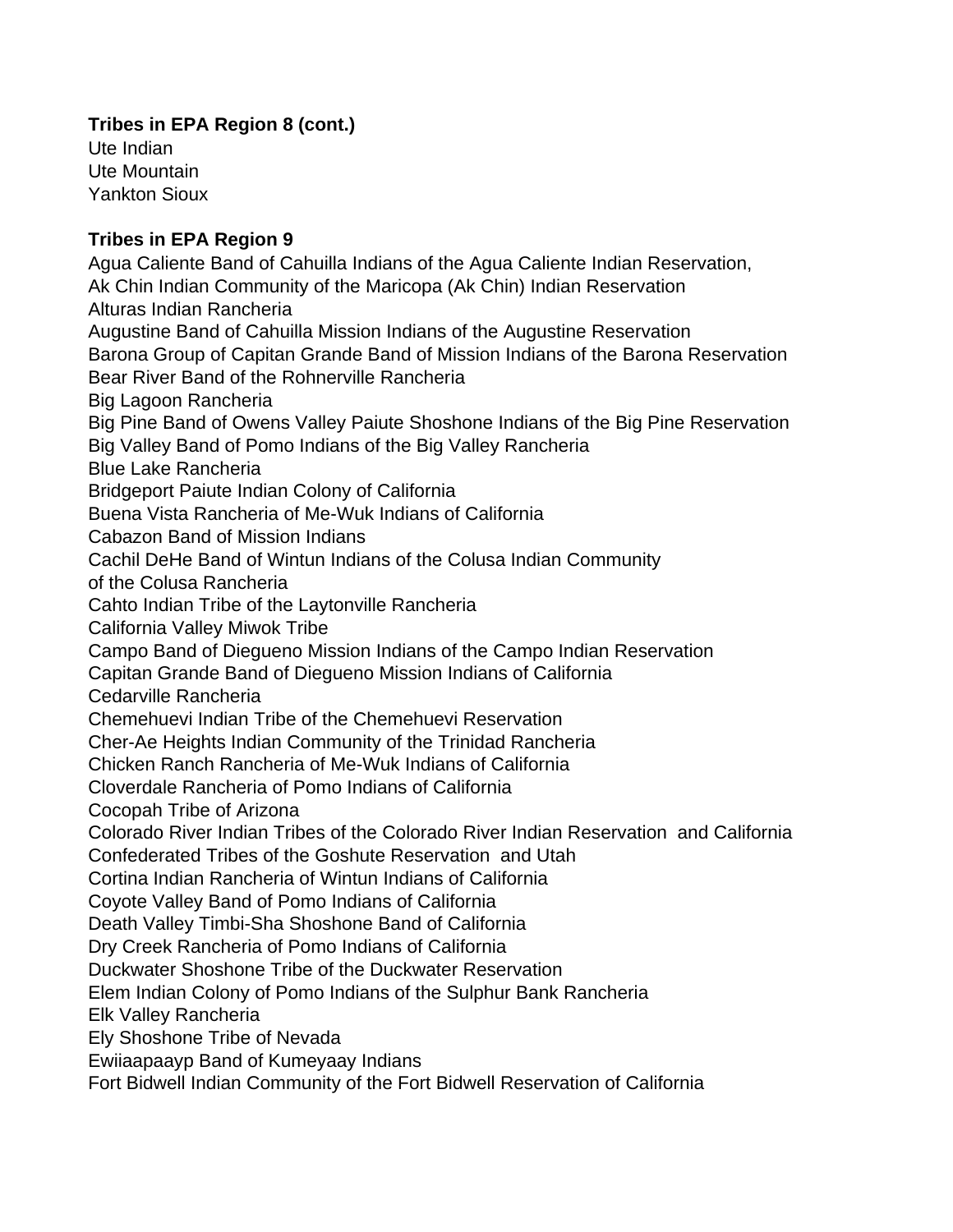Ute Indian Ute Mountain Yankton Sioux

# **Tribes in EPA Region 9**

Agua Caliente Band of Cahuilla Indians of the Agua Caliente Indian Reservation, Ak Chin Indian Community of the Maricopa (Ak Chin) Indian Reservation Alturas Indian Rancheria Augustine Band of Cahuilla Mission Indians of the Augustine Reservation Barona Group of Capitan Grande Band of Mission Indians of the Barona Reservation Bear River Band of the Rohnerville Rancheria Big Lagoon Rancheria Big Pine Band of Owens Valley Paiute Shoshone Indians of the Big Pine Reservation Big Valley Band of Pomo Indians of the Big Valley Rancheria Blue Lake Rancheria Bridgeport Paiute Indian Colony of California Buena Vista Rancheria of Me-Wuk Indians of California Cabazon Band of Mission Indians Cachil DeHe Band of Wintun Indians of the Colusa Indian Community of the Colusa Rancheria Cahto Indian Tribe of the Laytonville Rancheria California Valley Miwok Tribe Campo Band of Diegueno Mission Indians of the Campo Indian Reservation Capitan Grande Band of Diegueno Mission Indians of California Cedarville Rancheria Chemehuevi Indian Tribe of the Chemehuevi Reservation Cher-Ae Heights Indian Community of the Trinidad Rancheria Chicken Ranch Rancheria of Me-Wuk Indians of California Cloverdale Rancheria of Pomo Indians of California Cocopah Tribe of Arizona Colorado River Indian Tribes of the Colorado River Indian Reservation and California Confederated Tribes of the Goshute Reservation and Utah Cortina Indian Rancheria of Wintun Indians of California Coyote Valley Band of Pomo Indians of California Death Valley Timbi-Sha Shoshone Band of California Dry Creek Rancheria of Pomo Indians of California Duckwater Shoshone Tribe of the Duckwater Reservation Elem Indian Colony of Pomo Indians of the Sulphur Bank Rancheria Elk Valley Rancheria Ely Shoshone Tribe of Nevada Ewiiaapaayp Band of Kumeyaay Indians Fort Bidwell Indian Community of the Fort Bidwell Reservation of California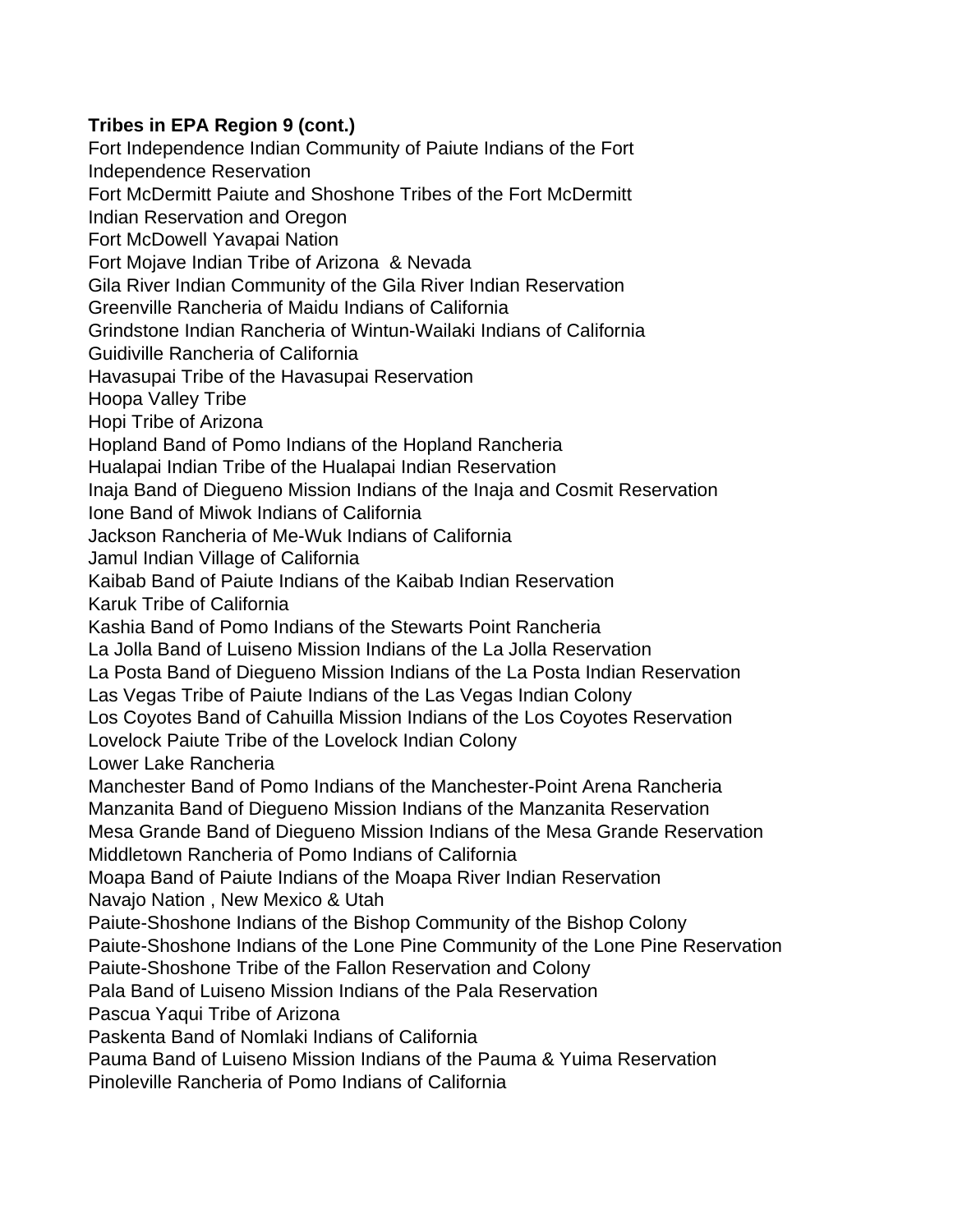Fort Independence Indian Community of Paiute Indians of the Fort Independence Reservation Fort McDermitt Paiute and Shoshone Tribes of the Fort McDermitt Indian Reservation and Oregon Fort McDowell Yavapai Nation Fort Mojave Indian Tribe of Arizona & Nevada Gila River Indian Community of the Gila River Indian Reservation Greenville Rancheria of Maidu Indians of California Grindstone Indian Rancheria of Wintun-Wailaki Indians of California Guidiville Rancheria of California Havasupai Tribe of the Havasupai Reservation Hoopa Valley Tribe Hopi Tribe of Arizona Hopland Band of Pomo Indians of the Hopland Rancheria Hualapai Indian Tribe of the Hualapai Indian Reservation Inaja Band of Diegueno Mission Indians of the Inaja and Cosmit Reservation Ione Band of Miwok Indians of California Jackson Rancheria of Me-Wuk Indians of California Jamul Indian Village of California Kaibab Band of Paiute Indians of the Kaibab Indian Reservation Karuk Tribe of California Kashia Band of Pomo Indians of the Stewarts Point Rancheria La Jolla Band of Luiseno Mission Indians of the La Jolla Reservation La Posta Band of Diegueno Mission Indians of the La Posta Indian Reservation Las Vegas Tribe of Paiute Indians of the Las Vegas Indian Colony Los Coyotes Band of Cahuilla Mission Indians of the Los Coyotes Reservation Lovelock Paiute Tribe of the Lovelock Indian Colony Lower Lake Rancheria Manchester Band of Pomo Indians of the Manchester-Point Arena Rancheria Manzanita Band of Diegueno Mission Indians of the Manzanita Reservation Mesa Grande Band of Diegueno Mission Indians of the Mesa Grande Reservation Middletown Rancheria of Pomo Indians of California Moapa Band of Paiute Indians of the Moapa River Indian Reservation Navajo Nation , New Mexico & Utah Paiute-Shoshone Indians of the Bishop Community of the Bishop Colony Paiute-Shoshone Indians of the Lone Pine Community of the Lone Pine Reservation Paiute-Shoshone Tribe of the Fallon Reservation and Colony Pala Band of Luiseno Mission Indians of the Pala Reservation Pascua Yaqui Tribe of Arizona Paskenta Band of Nomlaki Indians of California Pauma Band of Luiseno Mission Indians of the Pauma & Yuima Reservation Pinoleville Rancheria of Pomo Indians of California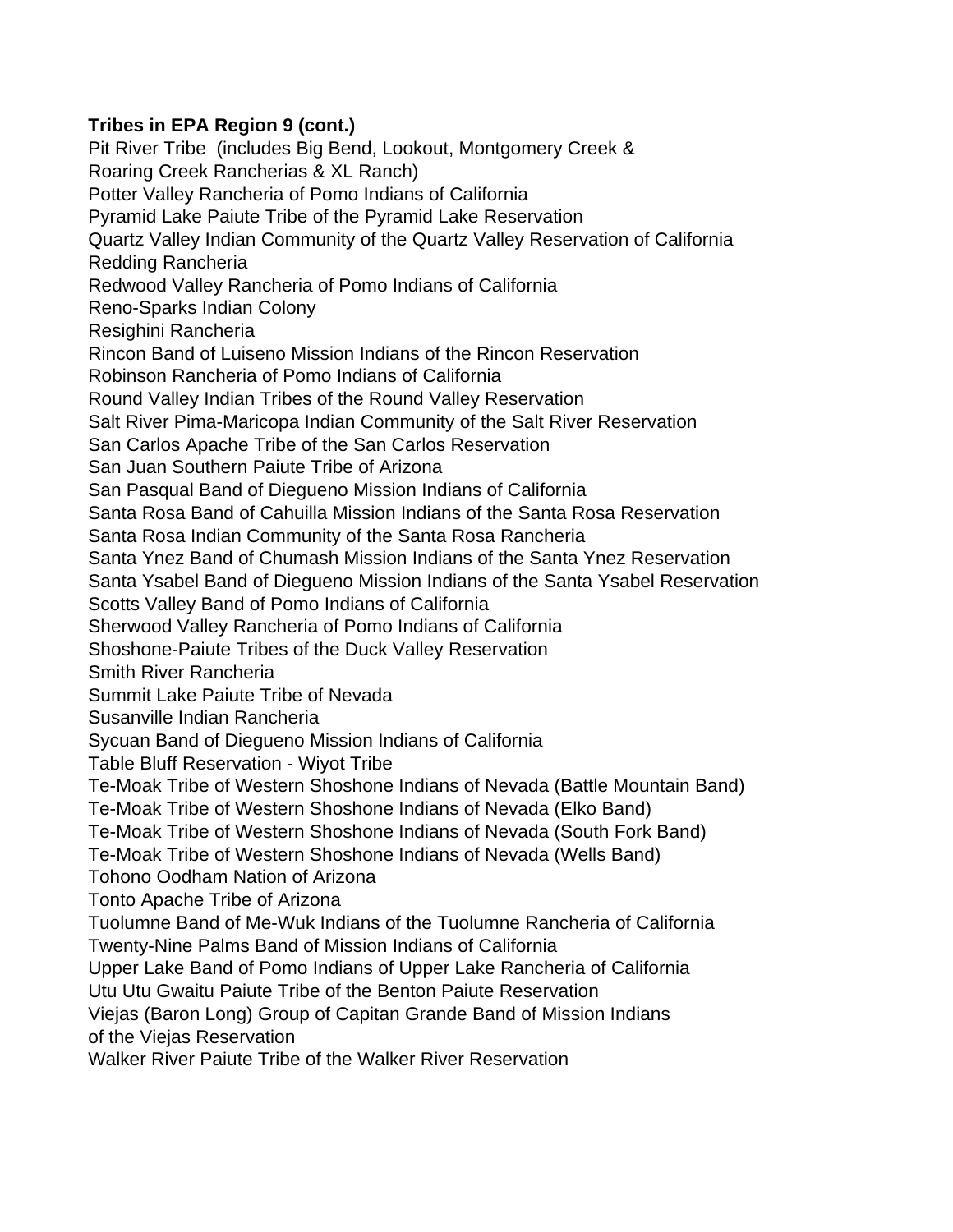Pit River Tribe (includes Big Bend, Lookout, Montgomery Creek & Roaring Creek Rancherias & XL Ranch) Potter Valley Rancheria of Pomo Indians of California Pyramid Lake Paiute Tribe of the Pyramid Lake Reservation Quartz Valley Indian Community of the Quartz Valley Reservation of California Redding Rancheria Redwood Valley Rancheria of Pomo Indians of California Reno-Sparks Indian Colony Resighini Rancheria Rincon Band of Luiseno Mission Indians of the Rincon Reservation Robinson Rancheria of Pomo Indians of California Round Valley Indian Tribes of the Round Valley Reservation Salt River Pima-Maricopa Indian Community of the Salt River Reservation San Carlos Apache Tribe of the San Carlos Reservation San Juan Southern Paiute Tribe of Arizona San Pasqual Band of Diegueno Mission Indians of California Santa Rosa Band of Cahuilla Mission Indians of the Santa Rosa Reservation Santa Rosa Indian Community of the Santa Rosa Rancheria Santa Ynez Band of Chumash Mission Indians of the Santa Ynez Reservation Santa Ysabel Band of Diegueno Mission Indians of the Santa Ysabel Reservation Scotts Valley Band of Pomo Indians of California Sherwood Valley Rancheria of Pomo Indians of California Shoshone-Paiute Tribes of the Duck Valley Reservation Smith River Rancheria Summit Lake Paiute Tribe of Nevada Susanville Indian Rancheria Sycuan Band of Diegueno Mission Indians of California Table Bluff Reservation - Wiyot Tribe Te-Moak Tribe of Western Shoshone Indians of Nevada (Battle Mountain Band) Te-Moak Tribe of Western Shoshone Indians of Nevada (Elko Band) Te-Moak Tribe of Western Shoshone Indians of Nevada (South Fork Band) Te-Moak Tribe of Western Shoshone Indians of Nevada (Wells Band) Tohono Oodham Nation of Arizona Tonto Apache Tribe of Arizona Tuolumne Band of Me-Wuk Indians of the Tuolumne Rancheria of California Twenty-Nine Palms Band of Mission Indians of California Upper Lake Band of Pomo Indians of Upper Lake Rancheria of California Utu Utu Gwaitu Paiute Tribe of the Benton Paiute Reservation Viejas (Baron Long) Group of Capitan Grande Band of Mission Indians of the Viejas Reservation Walker River Paiute Tribe of the Walker River Reservation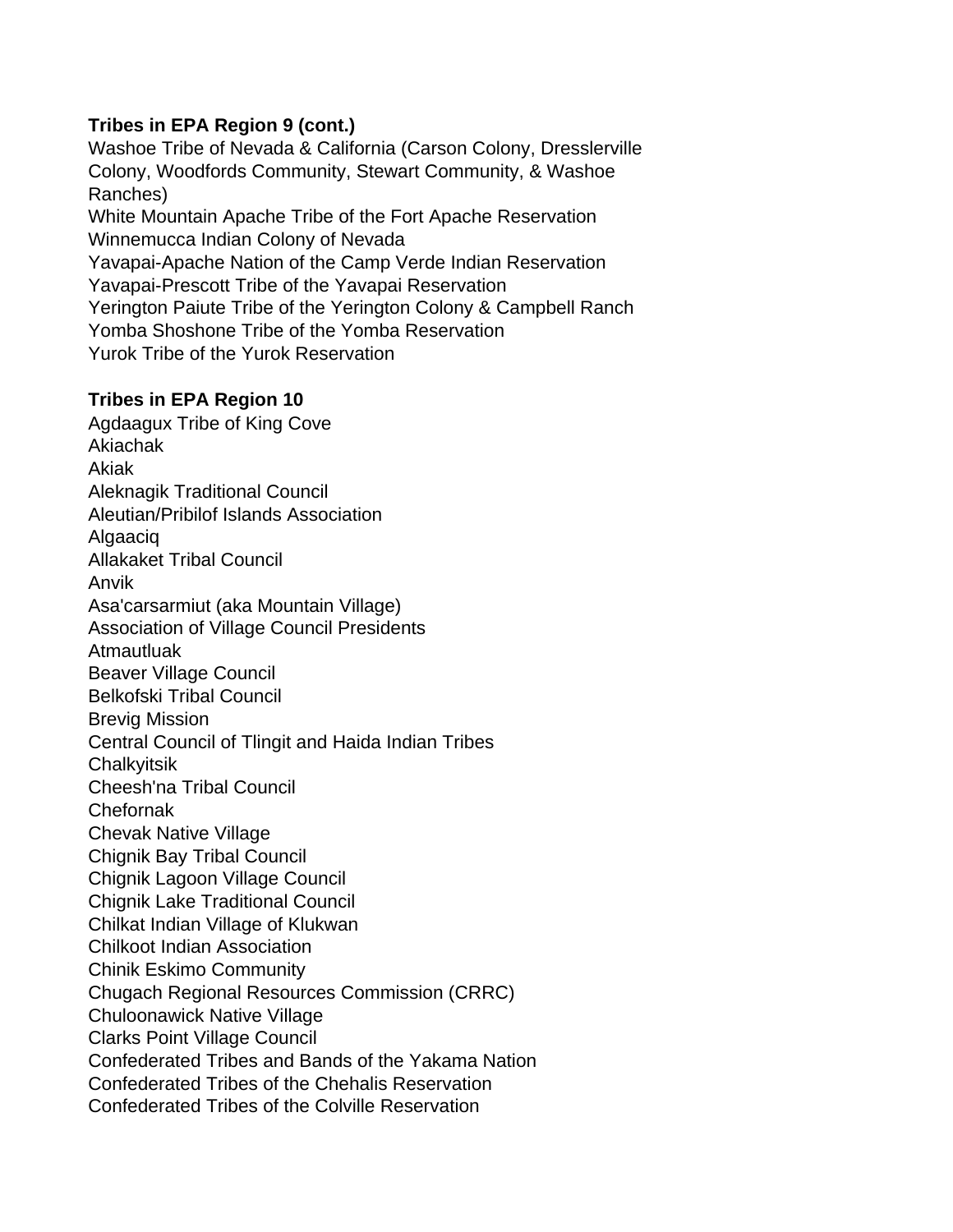Washoe Tribe of Nevada & California (Carson Colony, Dresslerville Colony, Woodfords Community, Stewart Community, & Washoe Ranches) White Mountain Apache Tribe of the Fort Apache Reservation Winnemucca Indian Colony of Nevada Yavapai-Apache Nation of the Camp Verde Indian Reservation Yavapai-Prescott Tribe of the Yavapai Reservation Yerington Paiute Tribe of the Yerington Colony & Campbell Ranch Yomba Shoshone Tribe of the Yomba Reservation Yurok Tribe of the Yurok Reservation

## **Tribes in EPA Region 10**

Agdaagux Tribe of King Cove Akiachak Akiak Aleknagik Traditional Council Aleutian/Pribilof Islands Association Algaaciq Allakaket Tribal Council Anvik Asa'carsarmiut (aka Mountain Village) Association of Village Council Presidents Atmautluak Beaver Village Council Belkofski Tribal Council Brevig Mission Central Council of Tlingit and Haida Indian Tribes **Chalkvitsik** Cheesh'na Tribal Council Chefornak Chevak Native Village Chignik Bay Tribal Council Chignik Lagoon Village Council Chignik Lake Traditional Council Chilkat Indian Village of Klukwan Chilkoot Indian Association Chinik Eskimo Community Chugach Regional Resources Commission (CRRC) Chuloonawick Native Village Clarks Point Village Council Confederated Tribes and Bands of the Yakama Nation Confederated Tribes of the Chehalis Reservation Confederated Tribes of the Colville Reservation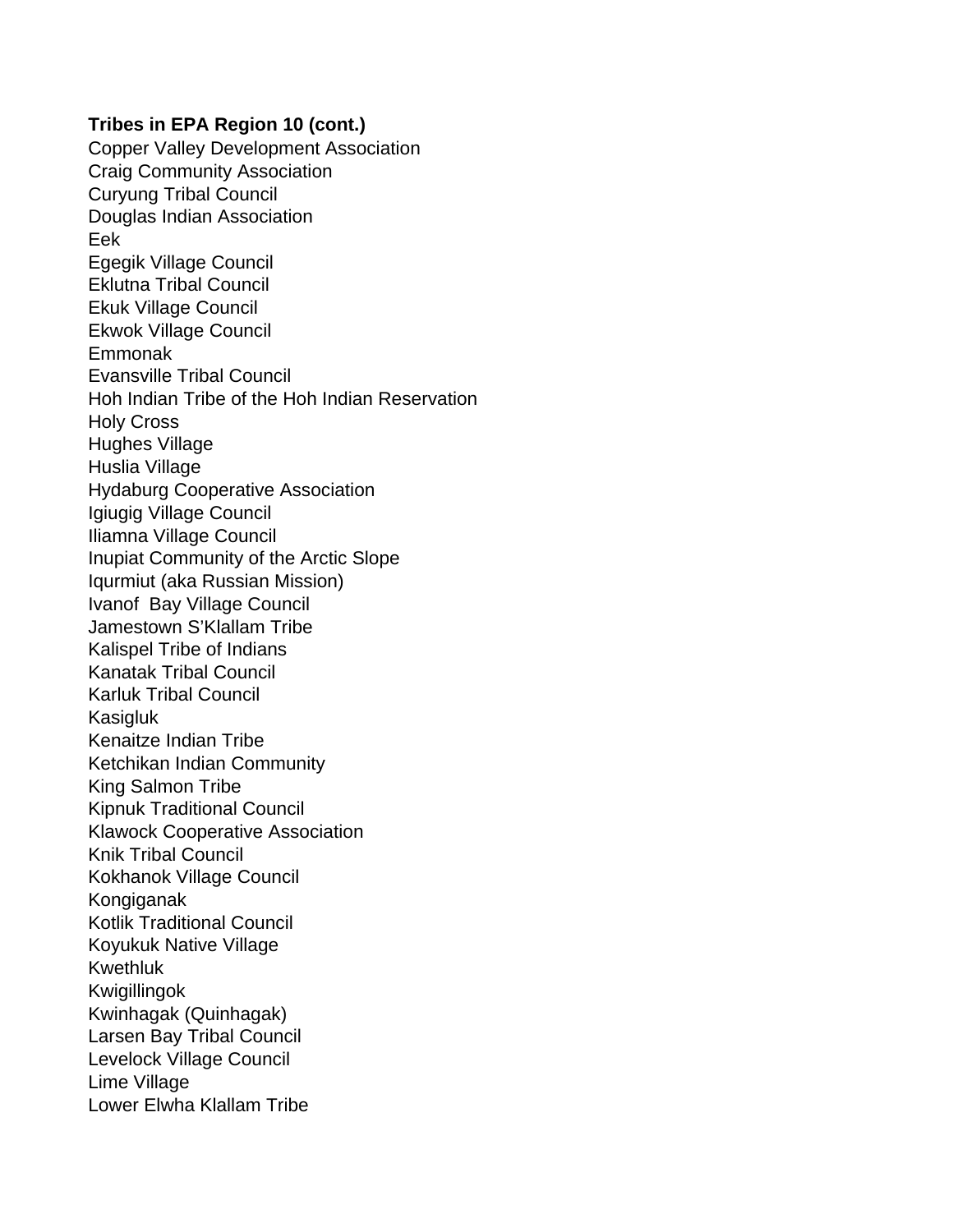Copper Valley Development Association Craig Community Association Curyung Tribal Council Douglas Indian Association Eek Egegik Village Council Eklutna Tribal Council Ekuk Village Council Ekwok Village Council Emmonak Evansville Tribal Council Hoh Indian Tribe of the Hoh Indian Reservation Holy Cross Hughes Village Huslia Village Hydaburg Cooperative Association Igiugig Village Council Iliamna Village Council Inupiat Community of the Arctic Slope Iqurmiut (aka Russian Mission) Ivanof Bay Village Council Jamestown S'Klallam Tribe Kalispel Tribe of Indians Kanatak Tribal Council Karluk Tribal Council Kasigluk Kenaitze Indian Tribe Ketchikan Indian Community King Salmon Tribe Kipnuk Traditional Council Klawock Cooperative Association Knik Tribal Council Kokhanok Village Council Kongiganak Kotlik Traditional Council Koyukuk Native Village Kwethluk Kwigillingok Kwinhagak (Quinhagak) Larsen Bay Tribal Council Levelock Village Council Lime Village Lower Elwha Klallam Tribe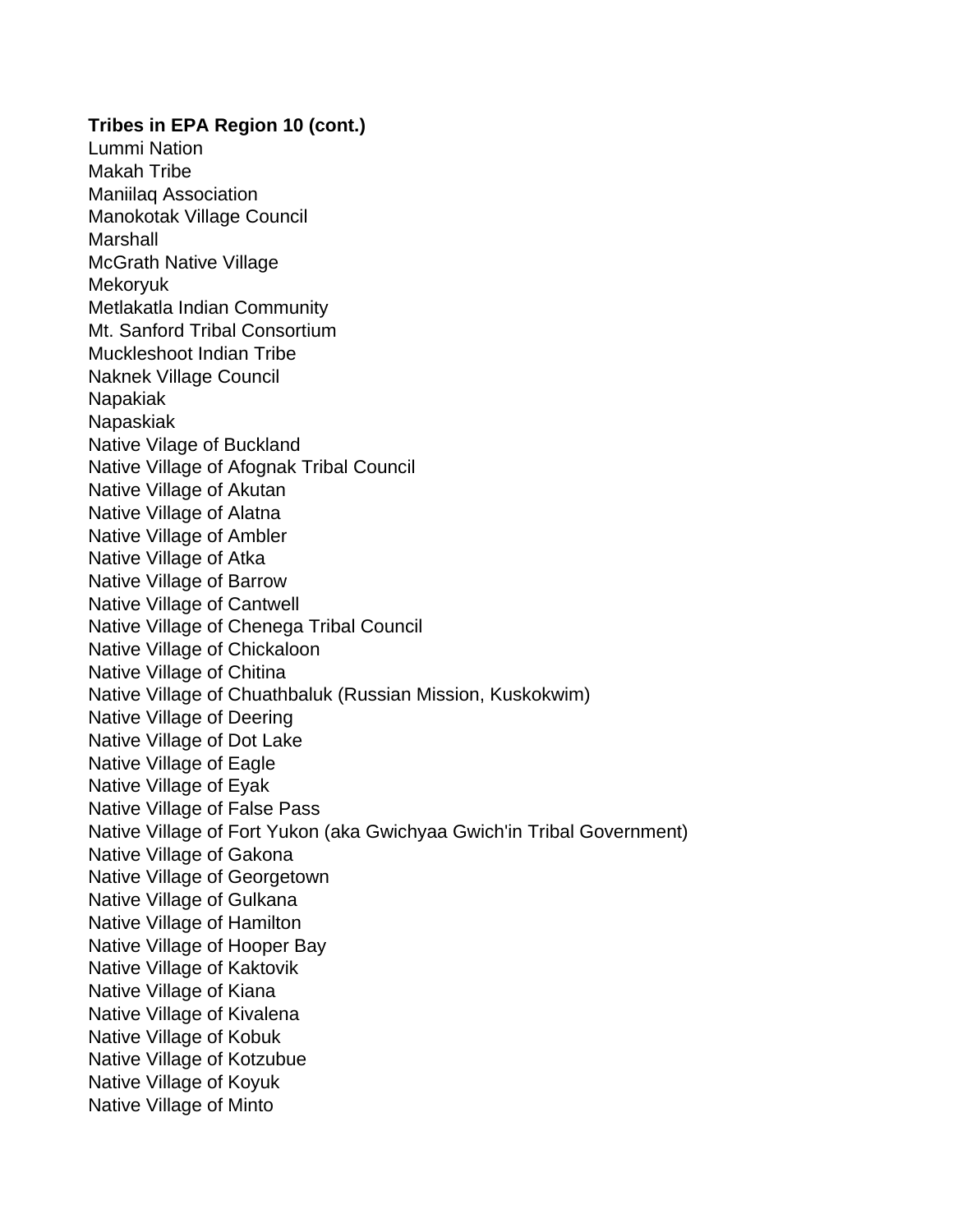**Tribes in EPA Region 10 (cont.)** Lummi Nation Makah Tribe Maniilaq Association Manokotak Village Council **Marshall** McGrath Native Village Mekoryuk Metlakatla Indian Community Mt. Sanford Tribal Consortium Muckleshoot Indian Tribe Naknek Village Council Napakiak Napaskiak Native Vilage of Buckland Native Village of Afognak Tribal Council Native Village of Akutan Native Village of Alatna Native Village of Ambler Native Village of Atka Native Village of Barrow Native Village of Cantwell Native Village of Chenega Tribal Council Native Village of Chickaloon Native Village of Chitina Native Village of Chuathbaluk (Russian Mission, Kuskokwim) Native Village of Deering Native Village of Dot Lake Native Village of Eagle Native Village of Eyak Native Village of False Pass Native Village of Fort Yukon (aka Gwichyaa Gwich'in Tribal Government) Native Village of Gakona Native Village of Georgetown Native Village of Gulkana Native Village of Hamilton Native Village of Hooper Bay Native Village of Kaktovik Native Village of Kiana Native Village of Kivalena Native Village of Kobuk Native Village of Kotzubue Native Village of Koyuk Native Village of Minto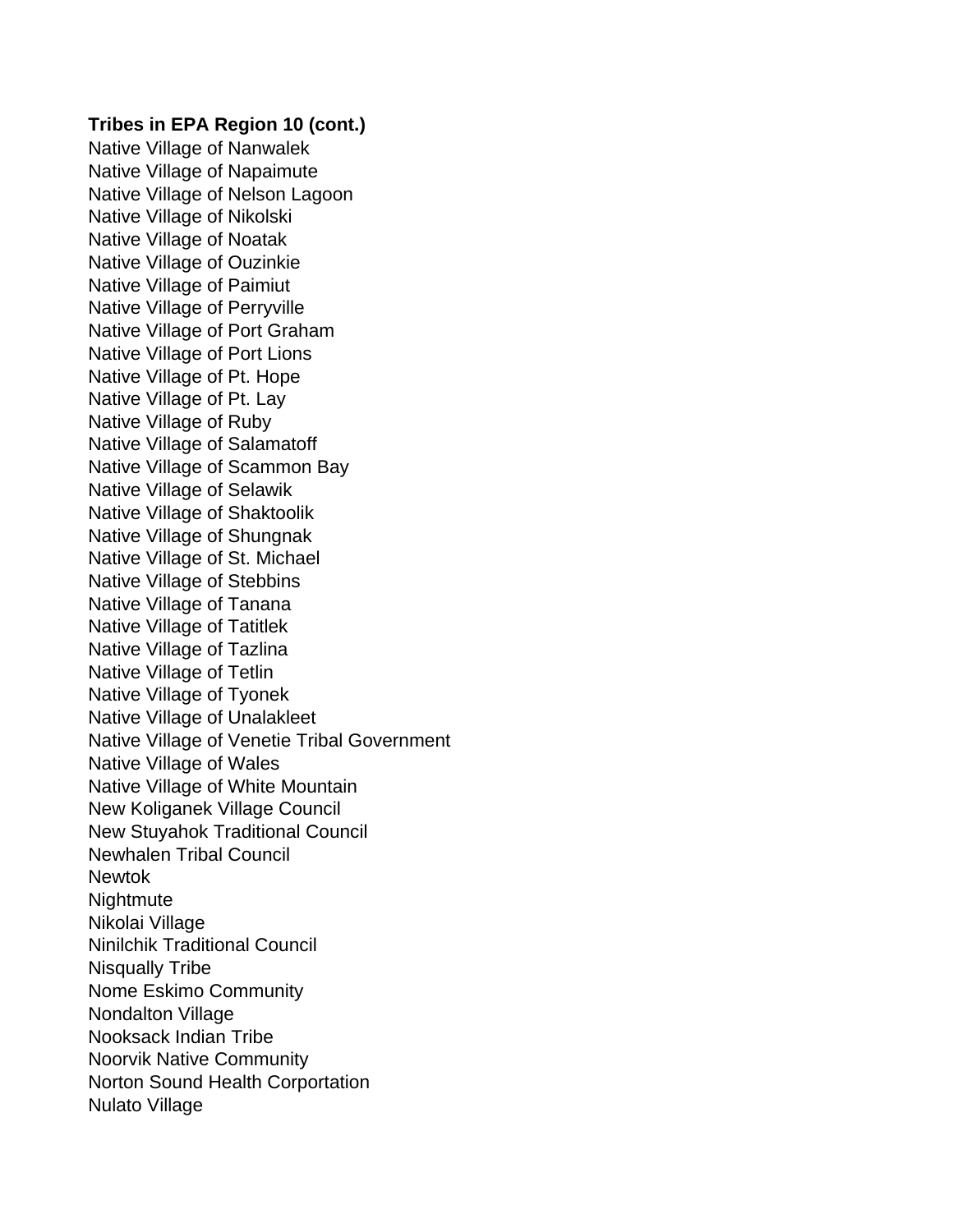Native Village of Nanwalek Native Village of Napaimute Native Village of Nelson Lagoon Native Village of Nikolski Native Village of Noatak Native Village of Ouzinkie Native Village of Paimiut Native Village of Perryville Native Village of Port Graham Native Village of Port Lions Native Village of Pt. Hope Native Village of Pt. Lay Native Village of Ruby Native Village of Salamatoff Native Village of Scammon Bay Native Village of Selawik Native Village of Shaktoolik Native Village of Shungnak Native Village of St. Michael Native Village of Stebbins Native Village of Tanana Native Village of Tatitlek Native Village of Tazlina Native Village of Tetlin Native Village of Tyonek Native Village of Unalakleet Native Village of Venetie Tribal Government Native Village of Wales Native Village of White Mountain New Koliganek Village Council New Stuyahok Traditional Council Newhalen Tribal Council **Newtok Nightmute** Nikolai Village Ninilchik Traditional Council Nisqually Tribe Nome Eskimo Community Nondalton Village Nooksack Indian Tribe Noorvik Native Community Norton Sound Health Corportation Nulato Village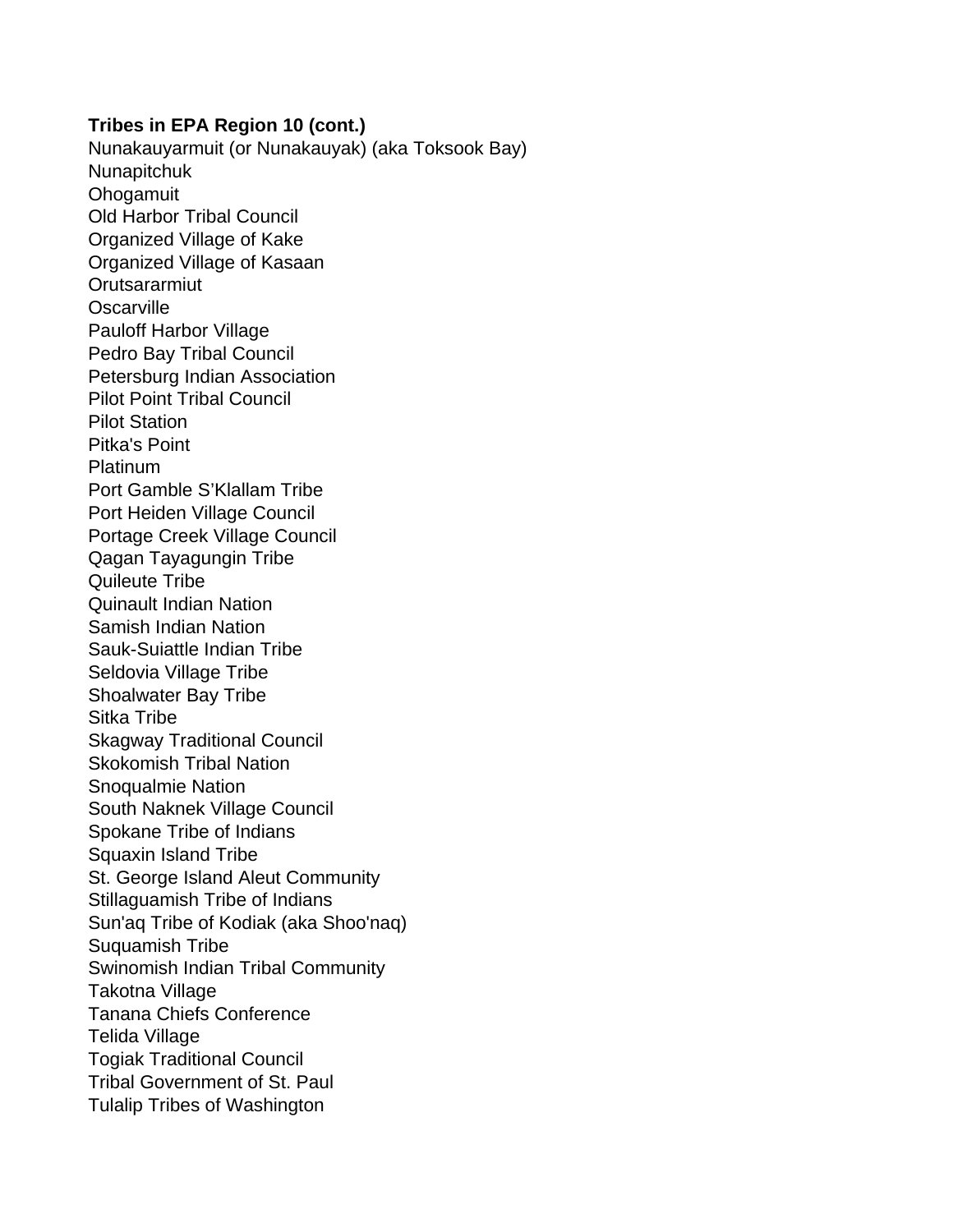Nunakauyarmuit (or Nunakauyak) (aka Toksook Bay) Nunapitchuk **Ohogamuit** Old Harbor Tribal Council Organized Village of Kake Organized Village of Kasaan **Orutsararmiut Oscarville** Pauloff Harbor Village Pedro Bay Tribal Council Petersburg Indian Association Pilot Point Tribal Council Pilot Station Pitka's Point Platinum Port Gamble S'Klallam Tribe Port Heiden Village Council Portage Creek Village Council Qagan Tayagungin Tribe Quileute Tribe Quinault Indian Nation Samish Indian Nation Sauk-Suiattle Indian Tribe Seldovia Village Tribe Shoalwater Bay Tribe Sitka Tribe Skagway Traditional Council Skokomish Tribal Nation Snoqualmie Nation South Naknek Village Council Spokane Tribe of Indians Squaxin Island Tribe St. George Island Aleut Community Stillaguamish Tribe of Indians Sun'aq Tribe of Kodiak (aka Shoo'naq) Suquamish Tribe Swinomish Indian Tribal Community Takotna Village Tanana Chiefs Conference Telida Village Togiak Traditional Council Tribal Government of St. Paul Tulalip Tribes of Washington